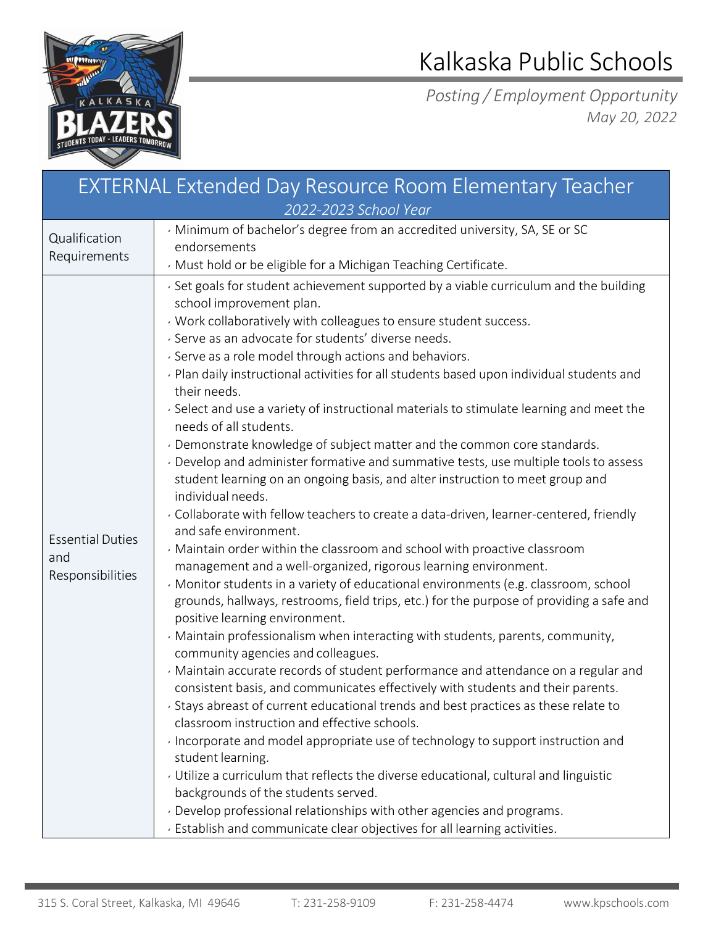

## Kalkaska Public Schools

*Posting / Employment Opportunity May 20, 2022*

| <b>EXTERNAL Extended Day Resource Room Elementary Teacher</b><br>2022-2023 School Year |                                                                                                                                                                                                                                                                                                                                                                                                                                                                                                                                                                                                                                                                                                                                                                                                                                                                                                                                                                                                                                                                                                                                                                                                                                                                                                                                                                                                                                                                                                                                                                                                                                                                                                                                                                                                                                                                                                                                                                                                                                                                                                                                      |  |  |
|----------------------------------------------------------------------------------------|--------------------------------------------------------------------------------------------------------------------------------------------------------------------------------------------------------------------------------------------------------------------------------------------------------------------------------------------------------------------------------------------------------------------------------------------------------------------------------------------------------------------------------------------------------------------------------------------------------------------------------------------------------------------------------------------------------------------------------------------------------------------------------------------------------------------------------------------------------------------------------------------------------------------------------------------------------------------------------------------------------------------------------------------------------------------------------------------------------------------------------------------------------------------------------------------------------------------------------------------------------------------------------------------------------------------------------------------------------------------------------------------------------------------------------------------------------------------------------------------------------------------------------------------------------------------------------------------------------------------------------------------------------------------------------------------------------------------------------------------------------------------------------------------------------------------------------------------------------------------------------------------------------------------------------------------------------------------------------------------------------------------------------------------------------------------------------------------------------------------------------------|--|--|
| Qualification<br>Requirements                                                          | Minimum of bachelor's degree from an accredited university, SA, SE or SC<br>endorsements<br>Must hold or be eligible for a Michigan Teaching Certificate.                                                                                                                                                                                                                                                                                                                                                                                                                                                                                                                                                                                                                                                                                                                                                                                                                                                                                                                                                                                                                                                                                                                                                                                                                                                                                                                                                                                                                                                                                                                                                                                                                                                                                                                                                                                                                                                                                                                                                                            |  |  |
| <b>Essential Duties</b><br>and<br>Responsibilities                                     | Set goals for student achievement supported by a viable curriculum and the building<br>school improvement plan.<br>Work collaboratively with colleagues to ensure student success.<br>· Serve as an advocate for students' diverse needs.<br>· Serve as a role model through actions and behaviors.<br>Plan daily instructional activities for all students based upon individual students and<br>their needs.<br>· Select and use a variety of instructional materials to stimulate learning and meet the<br>needs of all students.<br>· Demonstrate knowledge of subject matter and the common core standards.<br>Develop and administer formative and summative tests, use multiple tools to assess<br>student learning on an ongoing basis, and alter instruction to meet group and<br>individual needs.<br>. Collaborate with fellow teachers to create a data-driven, learner-centered, friendly<br>and safe environment.<br>Maintain order within the classroom and school with proactive classroom<br>management and a well-organized, rigorous learning environment.<br>Monitor students in a variety of educational environments (e.g. classroom, school<br>grounds, hallways, restrooms, field trips, etc.) for the purpose of providing a safe and<br>positive learning environment.<br>· Maintain professionalism when interacting with students, parents, community,<br>community agencies and colleagues.<br>· Maintain accurate records of student performance and attendance on a regular and<br>consistent basis, and communicates effectively with students and their parents.<br>. Stays abreast of current educational trends and best practices as these relate to<br>classroom instruction and effective schools.<br>· Incorporate and model appropriate use of technology to support instruction and<br>student learning.<br>Utilize a curriculum that reflects the diverse educational, cultural and linguistic<br>backgrounds of the students served.<br>. Develop professional relationships with other agencies and programs.<br>Establish and communicate clear objectives for all learning activities. |  |  |